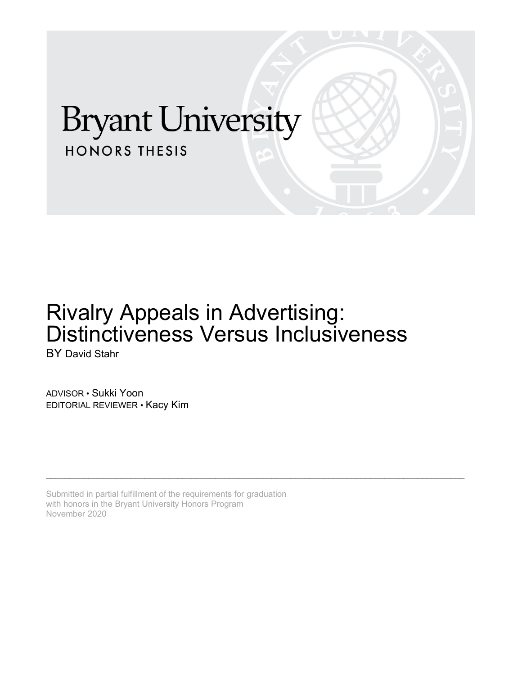# **Bryant University HONORS THESIS**

# Rivalry Appeals in Advertising: Distinctiveness Versus Inclusiveness

\_\_\_\_\_\_\_\_\_\_\_\_\_\_\_\_\_\_\_\_\_\_\_\_\_\_\_\_\_\_\_\_\_\_\_\_\_\_\_\_\_\_\_\_\_\_\_\_\_\_\_\_\_\_\_\_\_\_\_\_\_\_\_\_\_\_\_\_\_\_\_\_\_\_\_\_\_\_\_\_\_\_\_\_\_\_\_\_\_

BY David Stahr

ADVISOR • Sukki Yoon EDITORIAL REVIEWER • Kacy Kim

Submitted in partial fulfillment of the requirements for graduation with honors in the Bryant University Honors Program November 2020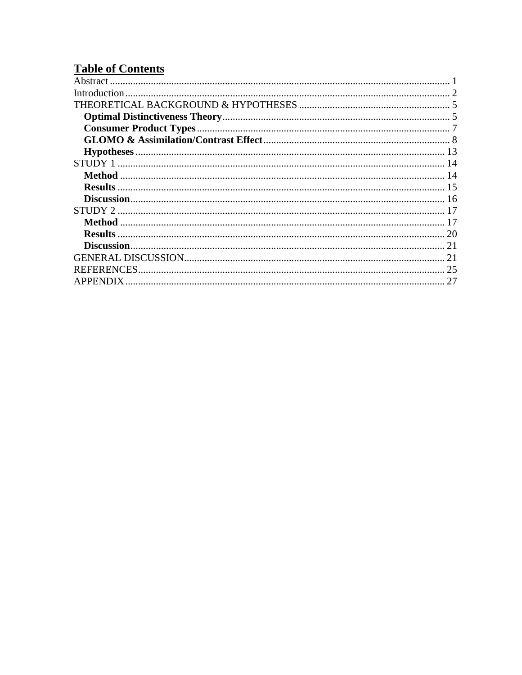# **Table of Contents**

| <b>Method</b>     |  |
|-------------------|--|
|                   |  |
|                   |  |
|                   |  |
|                   |  |
|                   |  |
|                   |  |
|                   |  |
| <b>REFERENCES</b> |  |
|                   |  |
|                   |  |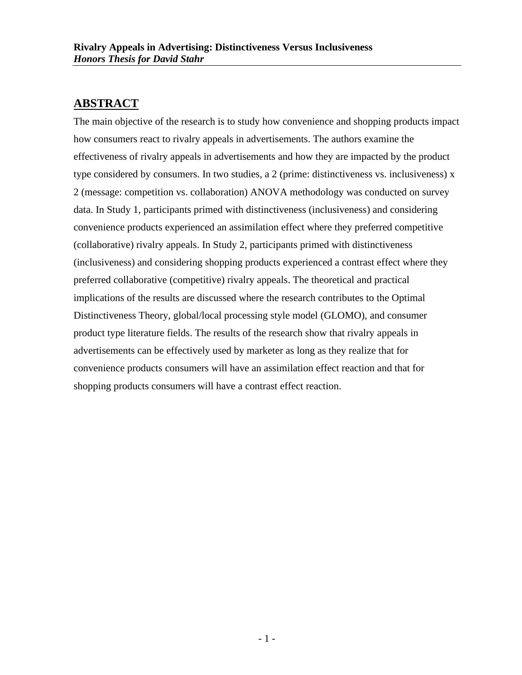# <span id="page-2-0"></span>**ABSTRACT**

The main objective of the research is to study how convenience and shopping products impact how consumers react to rivalry appeals in advertisements. The authors examine the effectiveness of rivalry appeals in advertisements and how they are impacted by the product type considered by consumers. In two studies, a 2 (prime: distinctiveness vs. inclusiveness) x 2 (message: competition vs. collaboration) ANOVA methodology was conducted on survey data. In Study 1, participants primed with distinctiveness (inclusiveness) and considering convenience products experienced an assimilation effect where they preferred competitive (collaborative) rivalry appeals. In Study 2, participants primed with distinctiveness (inclusiveness) and considering shopping products experienced a contrast effect where they preferred collaborative (competitive) rivalry appeals. The theoretical and practical implications of the results are discussed where the research contributes to the Optimal Distinctiveness Theory, global/local processing style model (GLOMO), and consumer product type literature fields. The results of the research show that rivalry appeals in advertisements can be effectively used by marketer as long as they realize that for convenience products consumers will have an assimilation effect reaction and that for shopping products consumers will have a contrast effect reaction.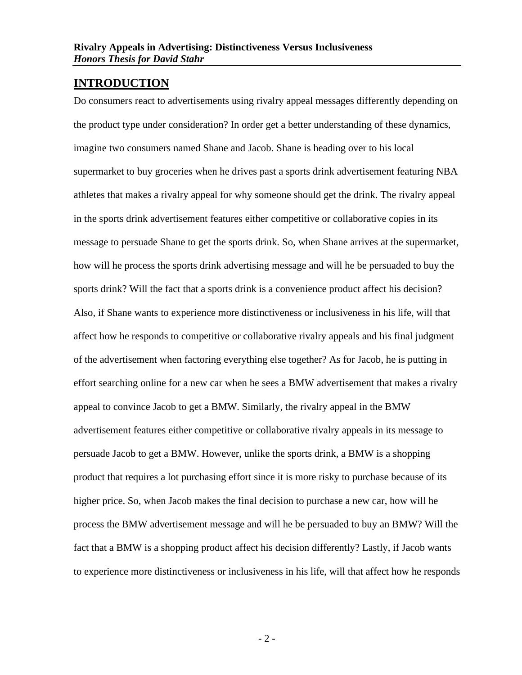## <span id="page-3-0"></span>**INTRODUCTION**

Do consumers react to advertisements using rivalry appeal messages differently depending on the product type under consideration? In order get a better understanding of these dynamics, imagine two consumers named Shane and Jacob. Shane is heading over to his local supermarket to buy groceries when he drives past a sports drink advertisement featuring NBA athletes that makes a rivalry appeal for why someone should get the drink. The rivalry appeal in the sports drink advertisement features either competitive or collaborative copies in its message to persuade Shane to get the sports drink. So, when Shane arrives at the supermarket, how will he process the sports drink advertising message and will he be persuaded to buy the sports drink? Will the fact that a sports drink is a convenience product affect his decision? Also, if Shane wants to experience more distinctiveness or inclusiveness in his life, will that affect how he responds to competitive or collaborative rivalry appeals and his final judgment of the advertisement when factoring everything else together? As for Jacob, he is putting in effort searching online for a new car when he sees a BMW advertisement that makes a rivalry appeal to convince Jacob to get a BMW. Similarly, the rivalry appeal in the BMW advertisement features either competitive or collaborative rivalry appeals in its message to persuade Jacob to get a BMW. However, unlike the sports drink, a BMW is a shopping product that requires a lot purchasing effort since it is more risky to purchase because of its higher price. So, when Jacob makes the final decision to purchase a new car, how will he process the BMW advertisement message and will he be persuaded to buy an BMW? Will the fact that a BMW is a shopping product affect his decision differently? Lastly, if Jacob wants to experience more distinctiveness or inclusiveness in his life, will that affect how he responds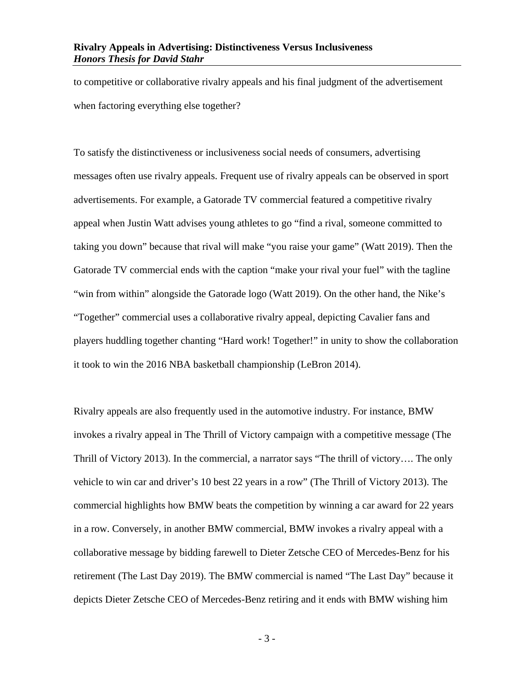to competitive or collaborative rivalry appeals and his final judgment of the advertisement when factoring everything else together?

To satisfy the distinctiveness or inclusiveness social needs of consumers, advertising messages often use rivalry appeals. Frequent use of rivalry appeals can be observed in sport advertisements. For example, a Gatorade TV commercial featured a competitive rivalry appeal when Justin Watt advises young athletes to go "find a rival, someone committed to taking you down" because that rival will make "you raise your game" (Watt 2019). Then the Gatorade TV commercial ends with the caption "make your rival your fuel" with the tagline "win from within" alongside the Gatorade logo (Watt 2019). On the other hand, the Nike's "Together" commercial uses a collaborative rivalry appeal, depicting Cavalier fans and players huddling together chanting "Hard work! Together!" in unity to show the collaboration it took to win the 2016 NBA basketball championship (LeBron 2014).

Rivalry appeals are also frequently used in the automotive industry. For instance, BMW invokes a rivalry appeal in The Thrill of Victory campaign with a competitive message (The Thrill of Victory 2013). In the commercial, a narrator says "The thrill of victory…. The only vehicle to win car and driver's 10 best 22 years in a row" (The Thrill of Victory 2013). The commercial highlights how BMW beats the competition by winning a car award for 22 years in a row. Conversely, in another BMW commercial, BMW invokes a rivalry appeal with a collaborative message by bidding farewell to Dieter Zetsche CEO of Mercedes-Benz for his retirement (The Last Day 2019). The BMW commercial is named "The Last Day" because it depicts Dieter Zetsche CEO of Mercedes-Benz retiring and it ends with BMW wishing him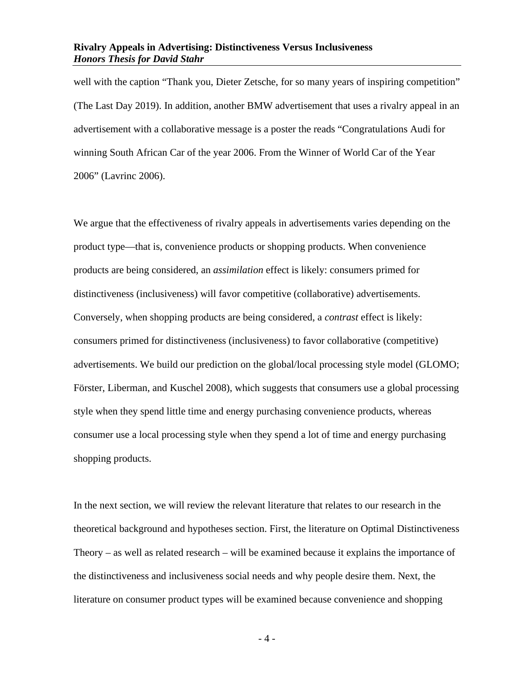well with the caption "Thank you, Dieter Zetsche, for so many years of inspiring competition" (The Last Day 2019). In addition, another BMW advertisement that uses a rivalry appeal in an advertisement with a collaborative message is a poster the reads "Congratulations Audi for winning South African Car of the year 2006. From the Winner of World Car of the Year 2006" (Lavrinc 2006).

We argue that the effectiveness of rivalry appeals in advertisements varies depending on the product type—that is, convenience products or shopping products. When convenience products are being considered, an *assimilation* effect is likely: consumers primed for distinctiveness (inclusiveness) will favor competitive (collaborative) advertisements. Conversely, when shopping products are being considered, a *contrast* effect is likely: consumers primed for distinctiveness (inclusiveness) to favor collaborative (competitive) advertisements. We build our prediction on the global/local processing style model (GLOMO; Förster, Liberman, and Kuschel 2008), which suggests that consumers use a global processing style when they spend little time and energy purchasing convenience products, whereas consumer use a local processing style when they spend a lot of time and energy purchasing shopping products.

In the next section, we will review the relevant literature that relates to our research in the theoretical background and hypotheses section. First, the literature on Optimal Distinctiveness Theory – as well as related research – will be examined because it explains the importance of the distinctiveness and inclusiveness social needs and why people desire them. Next, the literature on consumer product types will be examined because convenience and shopping

- 4 -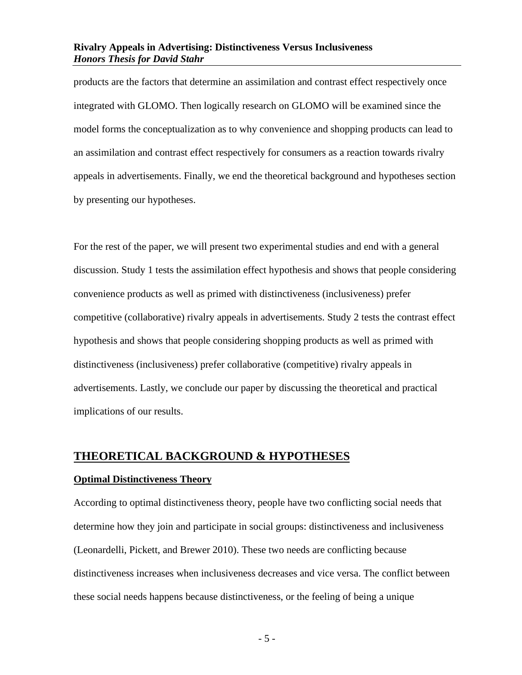products are the factors that determine an assimilation and contrast effect respectively once integrated with GLOMO. Then logically research on GLOMO will be examined since the model forms the conceptualization as to why convenience and shopping products can lead to an assimilation and contrast effect respectively for consumers as a reaction towards rivalry appeals in advertisements. Finally, we end the theoretical background and hypotheses section by presenting our hypotheses.

For the rest of the paper, we will present two experimental studies and end with a general discussion. Study 1 tests the assimilation effect hypothesis and shows that people considering convenience products as well as primed with distinctiveness (inclusiveness) prefer competitive (collaborative) rivalry appeals in advertisements. Study 2 tests the contrast effect hypothesis and shows that people considering shopping products as well as primed with distinctiveness (inclusiveness) prefer collaborative (competitive) rivalry appeals in advertisements. Lastly, we conclude our paper by discussing the theoretical and practical implications of our results.

### <span id="page-6-0"></span>**THEORETICAL BACKGROUND & HYPOTHESES**

#### <span id="page-6-1"></span>**Optimal Distinctiveness Theory**

According to optimal distinctiveness theory, people have two conflicting social needs that determine how they join and participate in social groups: distinctiveness and inclusiveness (Leonardelli, Pickett, and Brewer 2010). These two needs are conflicting because distinctiveness increases when inclusiveness decreases and vice versa. The conflict between these social needs happens because distinctiveness, or the feeling of being a unique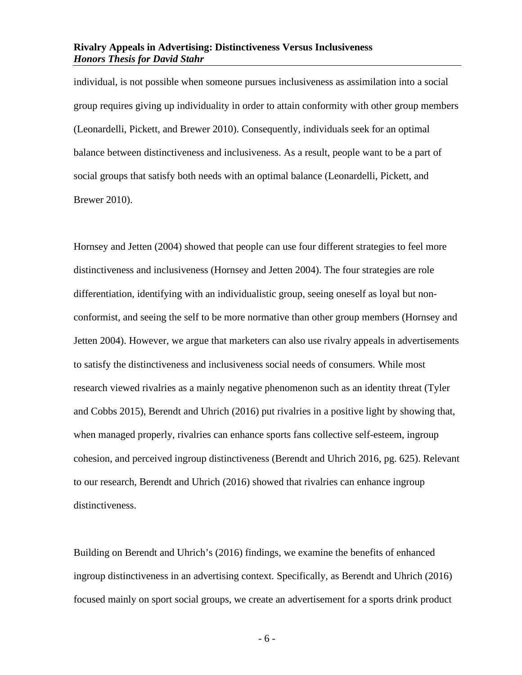individual, is not possible when someone pursues inclusiveness as assimilation into a social group requires giving up individuality in order to attain conformity with other group members (Leonardelli, Pickett, and Brewer 2010). Consequently, individuals seek for an optimal balance between distinctiveness and inclusiveness. As a result, people want to be a part of social groups that satisfy both needs with an optimal balance (Leonardelli, Pickett, and Brewer 2010).

Hornsey and Jetten (2004) showed that people can use four different strategies to feel more distinctiveness and inclusiveness (Hornsey and Jetten 2004). The four strategies are role differentiation, identifying with an individualistic group, seeing oneself as loyal but nonconformist, and seeing the self to be more normative than other group members (Hornsey and Jetten 2004). However, we argue that marketers can also use rivalry appeals in advertisements to satisfy the distinctiveness and inclusiveness social needs of consumers. While most research viewed rivalries as a mainly negative phenomenon such as an identity threat (Tyler and Cobbs 2015), Berendt and Uhrich (2016) put rivalries in a positive light by showing that, when managed properly, rivalries can enhance sports fans collective self-esteem, ingroup cohesion, and perceived ingroup distinctiveness (Berendt and Uhrich 2016, pg. 625). Relevant to our research, Berendt and Uhrich (2016) showed that rivalries can enhance ingroup distinctiveness.

Building on Berendt and Uhrich's (2016) findings, we examine the benefits of enhanced ingroup distinctiveness in an advertising context. Specifically, as Berendt and Uhrich (2016) focused mainly on sport social groups, we create an advertisement for a sports drink product

- 6 -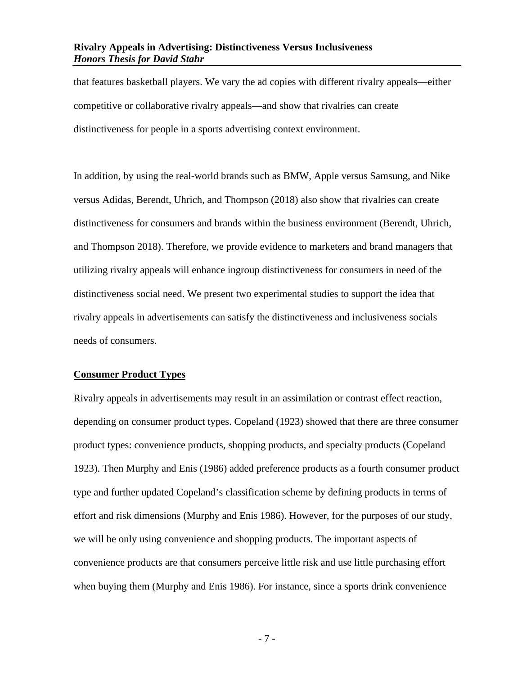that features basketball players. We vary the ad copies with different rivalry appeals—either competitive or collaborative rivalry appeals—and show that rivalries can create distinctiveness for people in a sports advertising context environment.

In addition, by using the real-world brands such as BMW, Apple versus Samsung, and Nike versus Adidas, Berendt, Uhrich, and Thompson (2018) also show that rivalries can create distinctiveness for consumers and brands within the business environment (Berendt, Uhrich, and Thompson 2018). Therefore, we provide evidence to marketers and brand managers that utilizing rivalry appeals will enhance ingroup distinctiveness for consumers in need of the distinctiveness social need. We present two experimental studies to support the idea that rivalry appeals in advertisements can satisfy the distinctiveness and inclusiveness socials needs of consumers.

#### <span id="page-8-0"></span>**Consumer Product Types**

Rivalry appeals in advertisements may result in an assimilation or contrast effect reaction, depending on consumer product types. Copeland (1923) showed that there are three consumer product types: convenience products, shopping products, and specialty products (Copeland 1923). Then Murphy and Enis (1986) added preference products as a fourth consumer product type and further updated Copeland's classification scheme by defining products in terms of effort and risk dimensions (Murphy and Enis 1986). However, for the purposes of our study, we will be only using convenience and shopping products. The important aspects of convenience products are that consumers perceive little risk and use little purchasing effort when buying them (Murphy and Enis 1986). For instance, since a sports drink convenience

- 7 -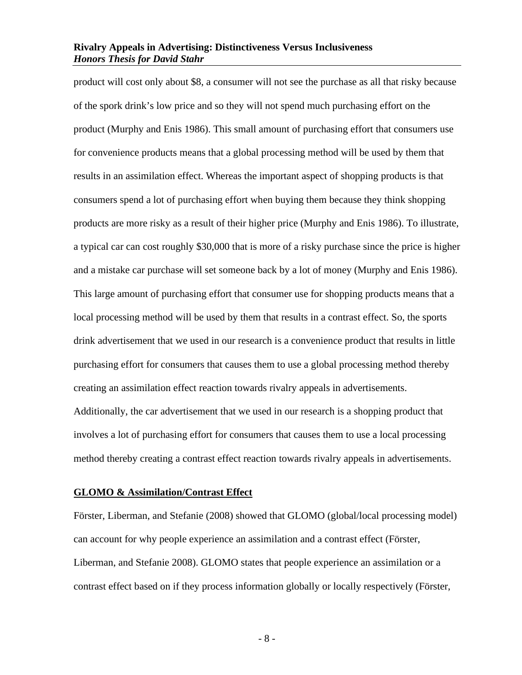product will cost only about \$8, a consumer will not see the purchase as all that risky because of the spork drink's low price and so they will not spend much purchasing effort on the product (Murphy and Enis 1986). This small amount of purchasing effort that consumers use for convenience products means that a global processing method will be used by them that results in an assimilation effect. Whereas the important aspect of shopping products is that consumers spend a lot of purchasing effort when buying them because they think shopping products are more risky as a result of their higher price (Murphy and Enis 1986). To illustrate, a typical car can cost roughly \$30,000 that is more of a risky purchase since the price is higher and a mistake car purchase will set someone back by a lot of money (Murphy and Enis 1986). This large amount of purchasing effort that consumer use for shopping products means that a local processing method will be used by them that results in a contrast effect. So, the sports drink advertisement that we used in our research is a convenience product that results in little purchasing effort for consumers that causes them to use a global processing method thereby creating an assimilation effect reaction towards rivalry appeals in advertisements. Additionally, the car advertisement that we used in our research is a shopping product that involves a lot of purchasing effort for consumers that causes them to use a local processing method thereby creating a contrast effect reaction towards rivalry appeals in advertisements.

#### <span id="page-9-0"></span>**GLOMO & Assimilation/Contrast Effect**

Förster, Liberman, and Stefanie (2008) showed that GLOMO (global/local processing model) can account for why people experience an assimilation and a contrast effect (Förster, Liberman, and Stefanie 2008). GLOMO states that people experience an assimilation or a contrast effect based on if they process information globally or locally respectively (Förster,

- 8 -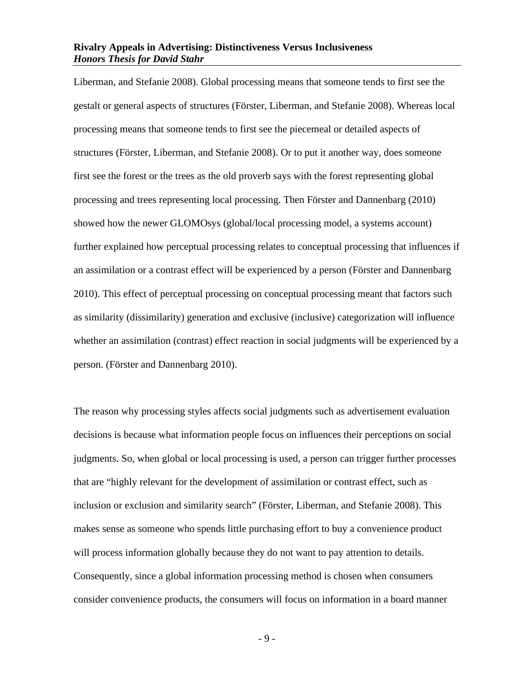Liberman, and Stefanie 2008). Global processing means that someone tends to first see the gestalt or general aspects of structures (Förster, Liberman, and Stefanie 2008). Whereas local processing means that someone tends to first see the piecemeal or detailed aspects of structures (Förster, Liberman, and Stefanie 2008). Or to put it another way, does someone first see the forest or the trees as the old proverb says with the forest representing global processing and trees representing local processing. Then Förster and Dannenbarg (2010) showed how the newer GLOMOsys (global/local processing model, a systems account) further explained how perceptual processing relates to conceptual processing that influences if an assimilation or a contrast effect will be experienced by a person (Förster and Dannenbarg 2010). This effect of perceptual processing on conceptual processing meant that factors such as similarity (dissimilarity) generation and exclusive (inclusive) categorization will influence whether an assimilation (contrast) effect reaction in social judgments will be experienced by a person. (Förster and Dannenbarg 2010).

The reason why processing styles affects social judgments such as advertisement evaluation decisions is because what information people focus on influences their perceptions on social judgments. So, when global or local processing is used, a person can trigger further processes that are "highly relevant for the development of assimilation or contrast effect, such as inclusion or exclusion and similarity search" (Förster, Liberman, and Stefanie 2008). This makes sense as someone who spends little purchasing effort to buy a convenience product will process information globally because they do not want to pay attention to details. Consequently, since a global information processing method is chosen when consumers consider convenience products, the consumers will focus on information in a board manner

- 9 -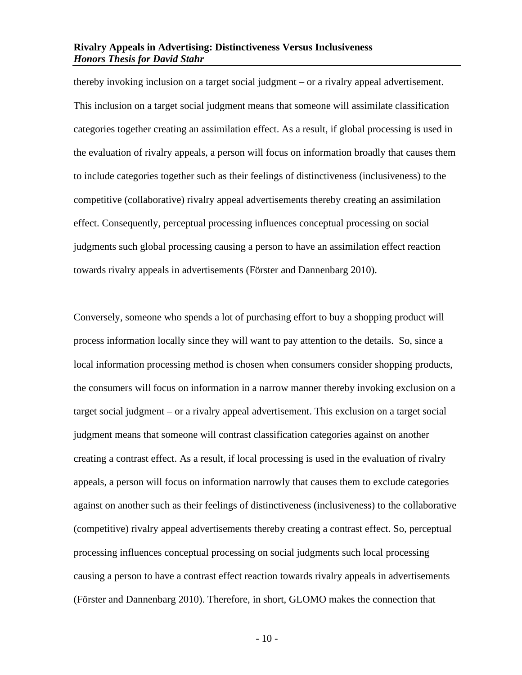thereby invoking inclusion on a target social judgment – or a rivalry appeal advertisement. This inclusion on a target social judgment means that someone will assimilate classification categories together creating an assimilation effect. As a result, if global processing is used in the evaluation of rivalry appeals, a person will focus on information broadly that causes them to include categories together such as their feelings of distinctiveness (inclusiveness) to the competitive (collaborative) rivalry appeal advertisements thereby creating an assimilation effect. Consequently, perceptual processing influences conceptual processing on social judgments such global processing causing a person to have an assimilation effect reaction towards rivalry appeals in advertisements (Förster and Dannenbarg 2010).

Conversely, someone who spends a lot of purchasing effort to buy a shopping product will process information locally since they will want to pay attention to the details. So, since a local information processing method is chosen when consumers consider shopping products, the consumers will focus on information in a narrow manner thereby invoking exclusion on a target social judgment – or a rivalry appeal advertisement. This exclusion on a target social judgment means that someone will contrast classification categories against on another creating a contrast effect. As a result, if local processing is used in the evaluation of rivalry appeals, a person will focus on information narrowly that causes them to exclude categories against on another such as their feelings of distinctiveness (inclusiveness) to the collaborative (competitive) rivalry appeal advertisements thereby creating a contrast effect. So, perceptual processing influences conceptual processing on social judgments such local processing causing a person to have a contrast effect reaction towards rivalry appeals in advertisements (Förster and Dannenbarg 2010). Therefore, in short, GLOMO makes the connection that

 $-10-$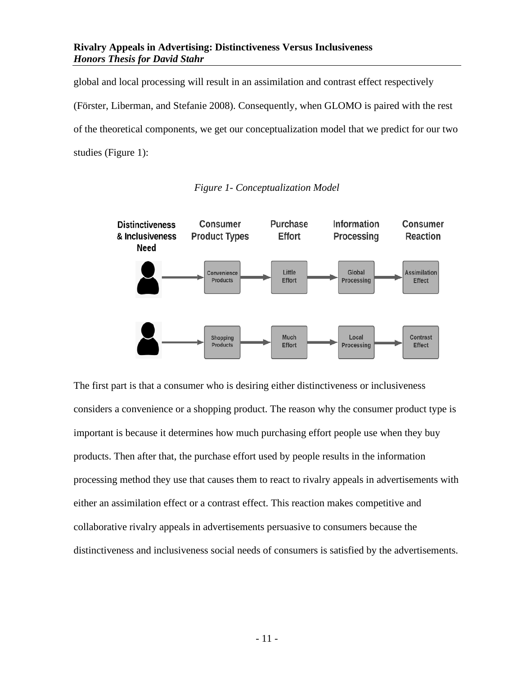global and local processing will result in an assimilation and contrast effect respectively (Förster, Liberman, and Stefanie 2008). Consequently, when GLOMO is paired with the rest of the theoretical components, we get our conceptualization model that we predict for our two studies (Figure 1):



*Figure 1- Conceptualization Model*

The first part is that a consumer who is desiring either distinctiveness or inclusiveness considers a convenience or a shopping product. The reason why the consumer product type is important is because it determines how much purchasing effort people use when they buy products. Then after that, the purchase effort used by people results in the information processing method they use that causes them to react to rivalry appeals in advertisements with either an assimilation effect or a contrast effect. This reaction makes competitive and collaborative rivalry appeals in advertisements persuasive to consumers because the distinctiveness and inclusiveness social needs of consumers is satisfied by the advertisements.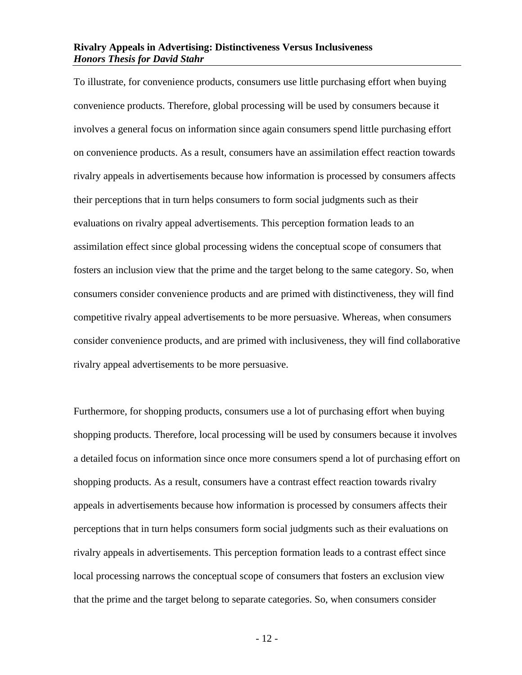To illustrate, for convenience products, consumers use little purchasing effort when buying convenience products. Therefore, global processing will be used by consumers because it involves a general focus on information since again consumers spend little purchasing effort on convenience products. As a result, consumers have an assimilation effect reaction towards rivalry appeals in advertisements because how information is processed by consumers affects their perceptions that in turn helps consumers to form social judgments such as their evaluations on rivalry appeal advertisements. This perception formation leads to an assimilation effect since global processing widens the conceptual scope of consumers that fosters an inclusion view that the prime and the target belong to the same category. So, when consumers consider convenience products and are primed with distinctiveness, they will find competitive rivalry appeal advertisements to be more persuasive. Whereas, when consumers consider convenience products, and are primed with inclusiveness, they will find collaborative rivalry appeal advertisements to be more persuasive.

Furthermore, for shopping products, consumers use a lot of purchasing effort when buying shopping products. Therefore, local processing will be used by consumers because it involves a detailed focus on information since once more consumers spend a lot of purchasing effort on shopping products. As a result, consumers have a contrast effect reaction towards rivalry appeals in advertisements because how information is processed by consumers affects their perceptions that in turn helps consumers form social judgments such as their evaluations on rivalry appeals in advertisements. This perception formation leads to a contrast effect since local processing narrows the conceptual scope of consumers that fosters an exclusion view that the prime and the target belong to separate categories. So, when consumers consider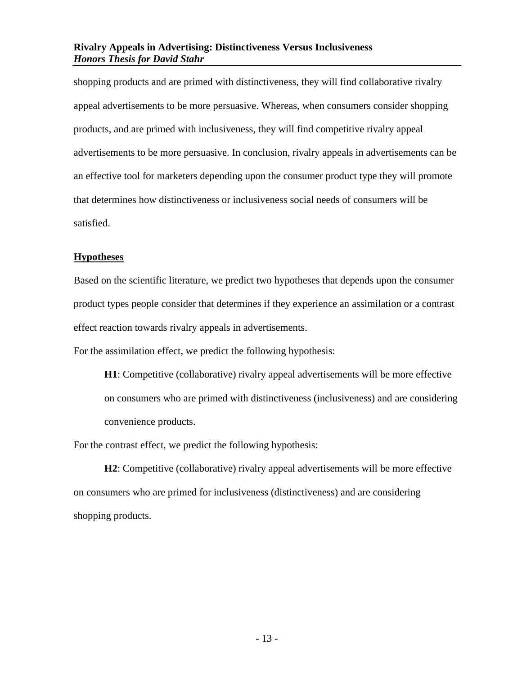shopping products and are primed with distinctiveness, they will find collaborative rivalry appeal advertisements to be more persuasive. Whereas, when consumers consider shopping products, and are primed with inclusiveness, they will find competitive rivalry appeal advertisements to be more persuasive. In conclusion, rivalry appeals in advertisements can be an effective tool for marketers depending upon the consumer product type they will promote that determines how distinctiveness or inclusiveness social needs of consumers will be satisfied.

#### <span id="page-14-0"></span>**Hypotheses**

Based on the scientific literature, we predict two hypotheses that depends upon the consumer product types people consider that determines if they experience an assimilation or a contrast effect reaction towards rivalry appeals in advertisements.

For the assimilation effect, we predict the following hypothesis:

**H1**: Competitive (collaborative) rivalry appeal advertisements will be more effective on consumers who are primed with distinctiveness (inclusiveness) and are considering convenience products.

For the contrast effect, we predict the following hypothesis:

**H2**: Competitive (collaborative) rivalry appeal advertisements will be more effective on consumers who are primed for inclusiveness (distinctiveness) and are considering shopping products.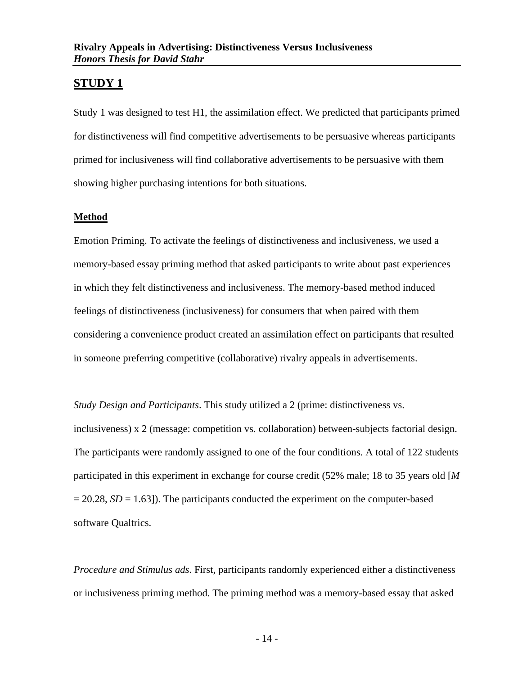# <span id="page-15-0"></span>**STUDY 1**

Study 1 was designed to test H1, the assimilation effect. We predicted that participants primed for distinctiveness will find competitive advertisements to be persuasive whereas participants primed for inclusiveness will find collaborative advertisements to be persuasive with them showing higher purchasing intentions for both situations.

#### <span id="page-15-1"></span>**Method**

Emotion Priming. To activate the feelings of distinctiveness and inclusiveness, we used a memory-based essay priming method that asked participants to write about past experiences in which they felt distinctiveness and inclusiveness. The memory-based method induced feelings of distinctiveness (inclusiveness) for consumers that when paired with them considering a convenience product created an assimilation effect on participants that resulted in someone preferring competitive (collaborative) rivalry appeals in advertisements.

*Study Design and Participants*. This study utilized a 2 (prime: distinctiveness vs. inclusiveness) x 2 (message: competition vs. collaboration) between-subjects factorial design. The participants were randomly assigned to one of the four conditions. A total of 122 students participated in this experiment in exchange for course credit (52% male; 18 to 35 years old [*M*  $= 20.28$ , *SD* = 1.63]). The participants conducted the experiment on the computer-based software Qualtrics.

*Procedure and Stimulus ads*. First, participants randomly experienced either a distinctiveness or inclusiveness priming method. The priming method was a memory-based essay that asked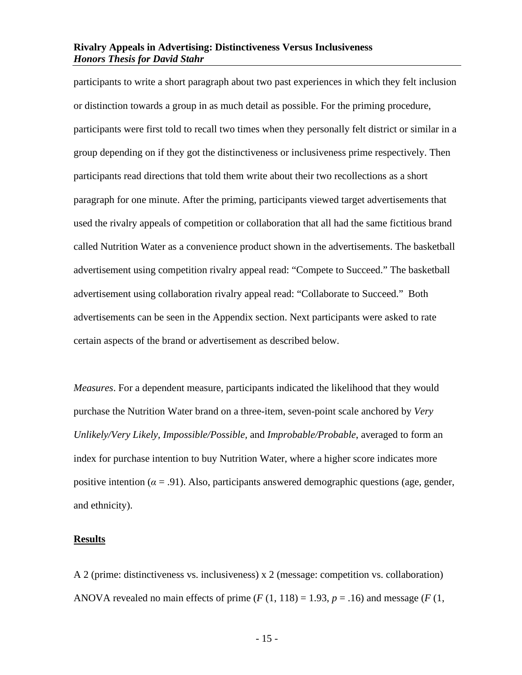participants to write a short paragraph about two past experiences in which they felt inclusion or distinction towards a group in as much detail as possible. For the priming procedure, participants were first told to recall two times when they personally felt district or similar in a group depending on if they got the distinctiveness or inclusiveness prime respectively. Then participants read directions that told them write about their two recollections as a short paragraph for one minute. After the priming, participants viewed target advertisements that used the rivalry appeals of competition or collaboration that all had the same fictitious brand called Nutrition Water as a convenience product shown in the advertisements. The basketball advertisement using competition rivalry appeal read: "Compete to Succeed." The basketball advertisement using collaboration rivalry appeal read: "Collaborate to Succeed." Both advertisements can be seen in the Appendix section. Next participants were asked to rate certain aspects of the brand or advertisement as described below.

*Measures*. For a dependent measure, participants indicated the likelihood that they would purchase the Nutrition Water brand on a three-item, seven-point scale anchored by *Very Unlikely/Very Likely, Impossible/Possible,* and *Improbable/Probable*, averaged to form an index for purchase intention to buy Nutrition Water, where a higher score indicates more positive intention ( $\alpha = .91$ ). Also, participants answered demographic questions (age, gender, and ethnicity).

#### <span id="page-16-0"></span>**Results**

A 2 (prime: distinctiveness vs. inclusiveness) x 2 (message: competition vs. collaboration) ANOVA revealed no main effects of prime  $(F(1, 118) = 1.93, p = .16)$  and message  $(F(1, 118) = 1.93, p = .16)$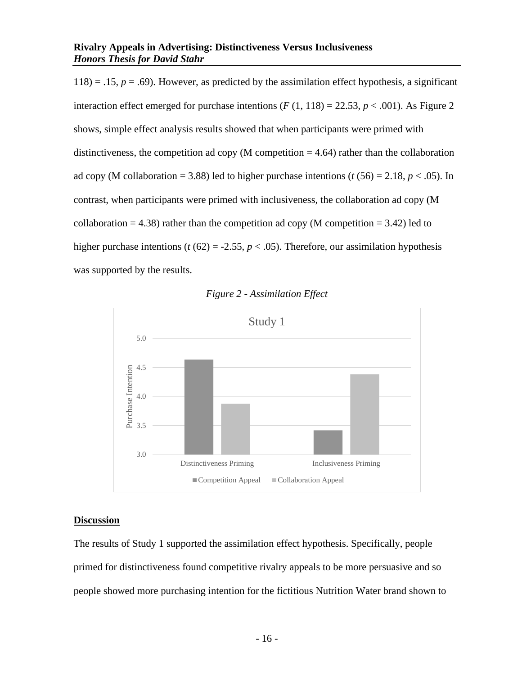$118$ ) = .15,  $p = .69$ ). However, as predicted by the assimilation effect hypothesis, a significant interaction effect emerged for purchase intentions  $(F(1, 118) = 22.53, p < .001)$ . As Figure 2 shows, simple effect analysis results showed that when participants were primed with distinctiveness, the competition ad copy (M competition  $=$  4.64) rather than the collaboration ad copy (M collaboration = 3.88) led to higher purchase intentions ( $t$  (56) = 2.18,  $p < .05$ ). In contrast, when participants were primed with inclusiveness, the collaboration ad copy (M collaboration = 4.38) rather than the competition ad copy (M competition = 3.42) led to higher purchase intentions ( $t$  (62) = -2.55,  $p < .05$ ). Therefore, our assimilation hypothesis was supported by the results.





#### <span id="page-17-0"></span>**Discussion**

The results of Study 1 supported the assimilation effect hypothesis. Specifically, people primed for distinctiveness found competitive rivalry appeals to be more persuasive and so people showed more purchasing intention for the fictitious Nutrition Water brand shown to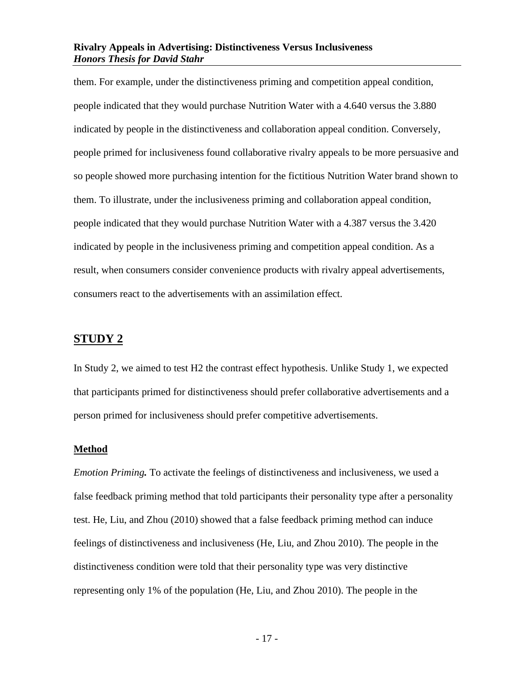them. For example, under the distinctiveness priming and competition appeal condition, people indicated that they would purchase Nutrition Water with a 4.640 versus the 3.880 indicated by people in the distinctiveness and collaboration appeal condition. Conversely, people primed for inclusiveness found collaborative rivalry appeals to be more persuasive and so people showed more purchasing intention for the fictitious Nutrition Water brand shown to them. To illustrate, under the inclusiveness priming and collaboration appeal condition, people indicated that they would purchase Nutrition Water with a 4.387 versus the 3.420 indicated by people in the inclusiveness priming and competition appeal condition. As a result, when consumers consider convenience products with rivalry appeal advertisements, consumers react to the advertisements with an assimilation effect.

#### <span id="page-18-0"></span>**STUDY 2**

In Study 2, we aimed to test H2 the contrast effect hypothesis. Unlike Study 1, we expected that participants primed for distinctiveness should prefer collaborative advertisements and a person primed for inclusiveness should prefer competitive advertisements.

#### <span id="page-18-1"></span>**Method**

*Emotion Priming.* To activate the feelings of distinctiveness and inclusiveness, we used a false feedback priming method that told participants their personality type after a personality test. He, Liu, and Zhou (2010) showed that a false feedback priming method can induce feelings of distinctiveness and inclusiveness (He, Liu, and Zhou 2010). The people in the distinctiveness condition were told that their personality type was very distinctive representing only 1% of the population (He, Liu, and Zhou 2010). The people in the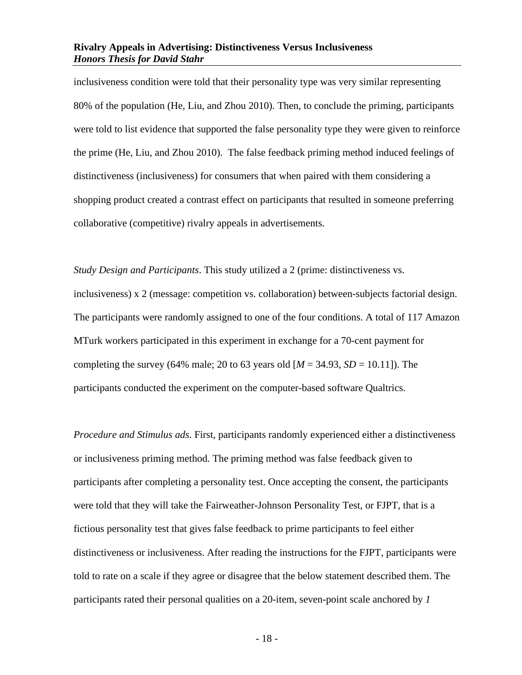inclusiveness condition were told that their personality type was very similar representing 80% of the population (He, Liu, and Zhou 2010). Then, to conclude the priming, participants were told to list evidence that supported the false personality type they were given to reinforce the prime (He, Liu, and Zhou 2010). The false feedback priming method induced feelings of distinctiveness (inclusiveness) for consumers that when paired with them considering a shopping product created a contrast effect on participants that resulted in someone preferring collaborative (competitive) rivalry appeals in advertisements.

*Study Design and Participants*. This study utilized a 2 (prime: distinctiveness vs. inclusiveness) x 2 (message: competition vs. collaboration) between-subjects factorial design. The participants were randomly assigned to one of the four conditions. A total of 117 Amazon MTurk workers participated in this experiment in exchange for a 70-cent payment for completing the survey (64% male; 20 to 63 years old  $[M = 34.93, SD = 10.11]$ ). The participants conducted the experiment on the computer-based software Qualtrics.

*Procedure and Stimulus ads*. First, participants randomly experienced either a distinctiveness or inclusiveness priming method. The priming method was false feedback given to participants after completing a personality test. Once accepting the consent, the participants were told that they will take the Fairweather-Johnson Personality Test, or FJPT, that is a fictious personality test that gives false feedback to prime participants to feel either distinctiveness or inclusiveness. After reading the instructions for the FJPT, participants were told to rate on a scale if they agree or disagree that the below statement described them. The participants rated their personal qualities on a 20-item, seven-point scale anchored by *1*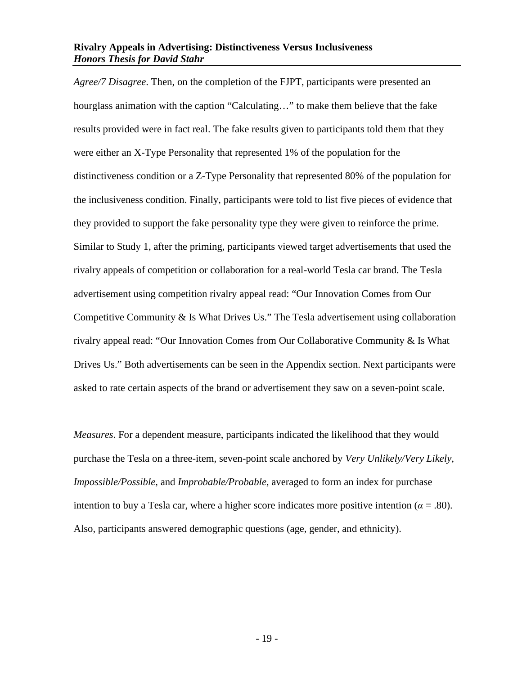*Agree/7 Disagree*. Then, on the completion of the FJPT, participants were presented an hourglass animation with the caption "Calculating…" to make them believe that the fake results provided were in fact real. The fake results given to participants told them that they were either an X-Type Personality that represented 1% of the population for the distinctiveness condition or a Z-Type Personality that represented 80% of the population for the inclusiveness condition. Finally, participants were told to list five pieces of evidence that they provided to support the fake personality type they were given to reinforce the prime. Similar to Study 1, after the priming, participants viewed target advertisements that used the rivalry appeals of competition or collaboration for a real-world Tesla car brand. The Tesla advertisement using competition rivalry appeal read: "Our Innovation Comes from Our Competitive Community & Is What Drives Us." The Tesla advertisement using collaboration rivalry appeal read: "Our Innovation Comes from Our Collaborative Community & Is What Drives Us." Both advertisements can be seen in the Appendix section. Next participants were asked to rate certain aspects of the brand or advertisement they saw on a seven-point scale.

*Measures*. For a dependent measure, participants indicated the likelihood that they would purchase the Tesla on a three-item, seven-point scale anchored by *Very Unlikely/Very Likely, Impossible/Possible,* and *Improbable/Probable*, averaged to form an index for purchase intention to buy a Tesla car, where a higher score indicates more positive intention ( $\alpha = .80$ ). Also, participants answered demographic questions (age, gender, and ethnicity).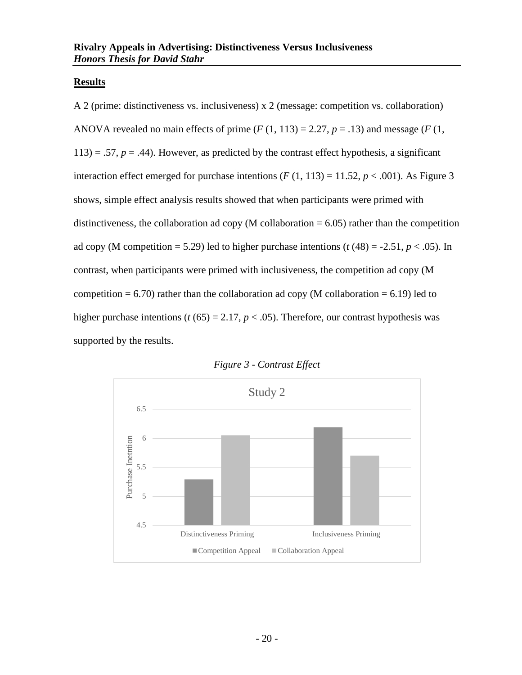#### <span id="page-21-0"></span>**Results**

A 2 (prime: distinctiveness vs. inclusiveness) x 2 (message: competition vs. collaboration) ANOVA revealed no main effects of prime  $(F(1, 113) = 2.27, p = .13)$  and message  $(F(1,$  $113$ ) = .57,  $p = .44$ ). However, as predicted by the contrast effect hypothesis, a significant interaction effect emerged for purchase intentions  $(F(1, 113) = 11.52, p < .001)$ . As Figure 3 shows, simple effect analysis results showed that when participants were primed with distinctiveness, the collaboration ad copy (M collaboration  $= 6.05$ ) rather than the competition ad copy (M competition = 5.29) led to higher purchase intentions ( $t$  (48) = -2.51,  $p$  < .05). In contrast, when participants were primed with inclusiveness, the competition ad copy (M competition  $= 6.70$ ) rather than the collaboration ad copy (M collaboration  $= 6.19$ ) led to higher purchase intentions ( $t$  (65) = 2.17,  $p$  < .05). Therefore, our contrast hypothesis was supported by the results.



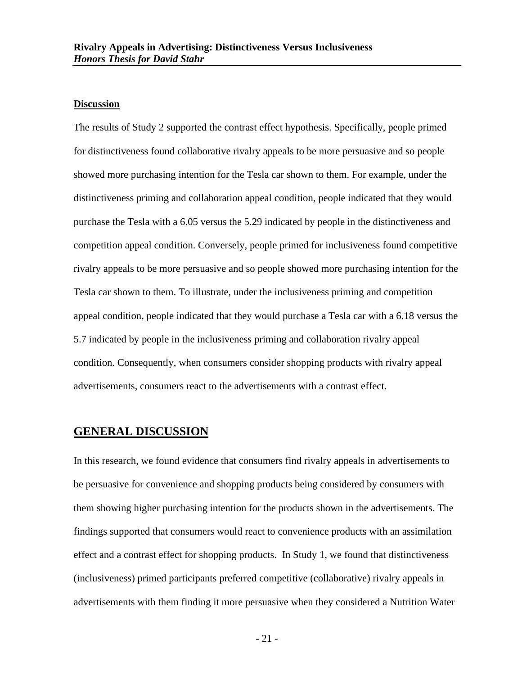#### <span id="page-22-0"></span>**Discussion**

The results of Study 2 supported the contrast effect hypothesis. Specifically, people primed for distinctiveness found collaborative rivalry appeals to be more persuasive and so people showed more purchasing intention for the Tesla car shown to them. For example, under the distinctiveness priming and collaboration appeal condition, people indicated that they would purchase the Tesla with a 6.05 versus the 5.29 indicated by people in the distinctiveness and competition appeal condition. Conversely, people primed for inclusiveness found competitive rivalry appeals to be more persuasive and so people showed more purchasing intention for the Tesla car shown to them. To illustrate, under the inclusiveness priming and competition appeal condition, people indicated that they would purchase a Tesla car with a 6.18 versus the 5.7 indicated by people in the inclusiveness priming and collaboration rivalry appeal condition. Consequently, when consumers consider shopping products with rivalry appeal advertisements, consumers react to the advertisements with a contrast effect.

#### <span id="page-22-1"></span>**GENERAL DISCUSSION**

In this research, we found evidence that consumers find rivalry appeals in advertisements to be persuasive for convenience and shopping products being considered by consumers with them showing higher purchasing intention for the products shown in the advertisements. The findings supported that consumers would react to convenience products with an assimilation effect and a contrast effect for shopping products. In Study 1, we found that distinctiveness (inclusiveness) primed participants preferred competitive (collaborative) rivalry appeals in advertisements with them finding it more persuasive when they considered a Nutrition Water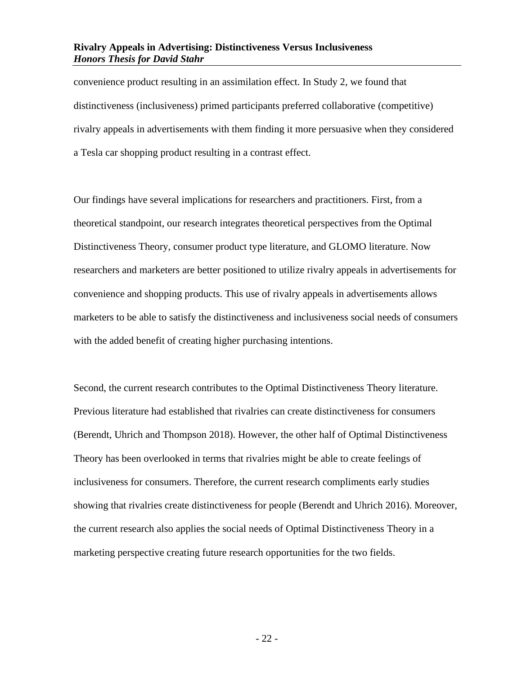convenience product resulting in an assimilation effect. In Study 2, we found that distinctiveness (inclusiveness) primed participants preferred collaborative (competitive) rivalry appeals in advertisements with them finding it more persuasive when they considered a Tesla car shopping product resulting in a contrast effect.

Our findings have several implications for researchers and practitioners. First, from a theoretical standpoint, our research integrates theoretical perspectives from the Optimal Distinctiveness Theory, consumer product type literature, and GLOMO literature. Now researchers and marketers are better positioned to utilize rivalry appeals in advertisements for convenience and shopping products. This use of rivalry appeals in advertisements allows marketers to be able to satisfy the distinctiveness and inclusiveness social needs of consumers with the added benefit of creating higher purchasing intentions.

Second, the current research contributes to the Optimal Distinctiveness Theory literature. Previous literature had established that rivalries can create distinctiveness for consumers (Berendt, Uhrich and Thompson 2018). However, the other half of Optimal Distinctiveness Theory has been overlooked in terms that rivalries might be able to create feelings of inclusiveness for consumers. Therefore, the current research compliments early studies showing that rivalries create distinctiveness for people (Berendt and Uhrich 2016). Moreover, the current research also applies the social needs of Optimal Distinctiveness Theory in a marketing perspective creating future research opportunities for the two fields.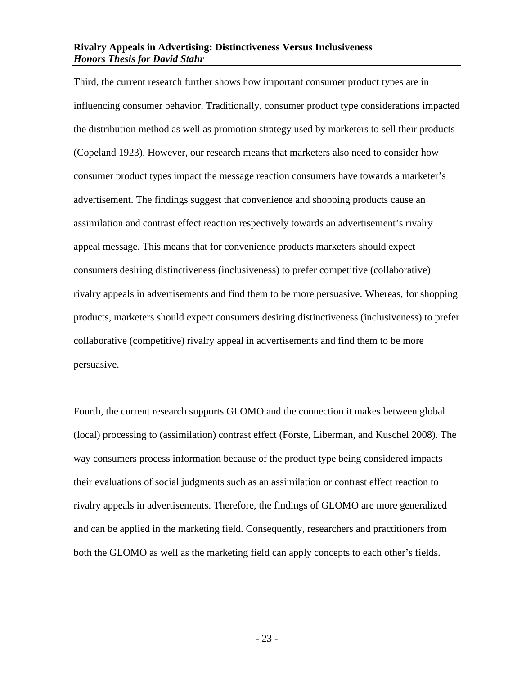Third, the current research further shows how important consumer product types are in influencing consumer behavior. Traditionally, consumer product type considerations impacted the distribution method as well as promotion strategy used by marketers to sell their products (Copeland 1923). However, our research means that marketers also need to consider how consumer product types impact the message reaction consumers have towards a marketer's advertisement. The findings suggest that convenience and shopping products cause an assimilation and contrast effect reaction respectively towards an advertisement's rivalry appeal message. This means that for convenience products marketers should expect consumers desiring distinctiveness (inclusiveness) to prefer competitive (collaborative) rivalry appeals in advertisements and find them to be more persuasive. Whereas, for shopping products, marketers should expect consumers desiring distinctiveness (inclusiveness) to prefer collaborative (competitive) rivalry appeal in advertisements and find them to be more persuasive.

Fourth, the current research supports GLOMO and the connection it makes between global (local) processing to (assimilation) contrast effect (Förste, Liberman, and Kuschel 2008). The way consumers process information because of the product type being considered impacts their evaluations of social judgments such as an assimilation or contrast effect reaction to rivalry appeals in advertisements. Therefore, the findings of GLOMO are more generalized and can be applied in the marketing field. Consequently, researchers and practitioners from both the GLOMO as well as the marketing field can apply concepts to each other's fields.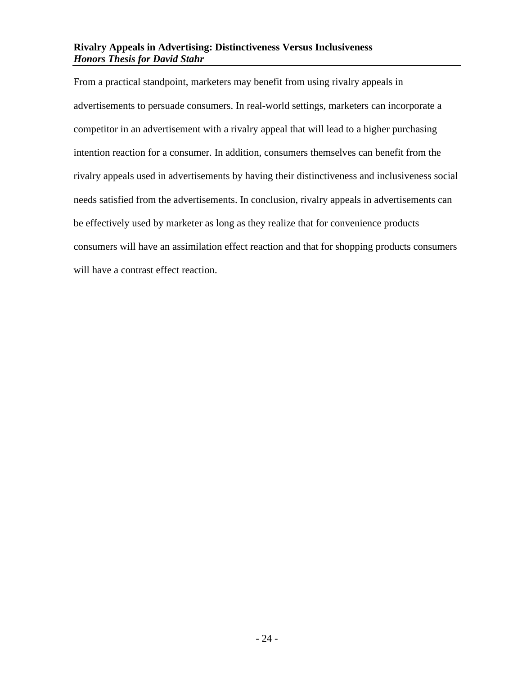From a practical standpoint, marketers may benefit from using rivalry appeals in advertisements to persuade consumers. In real-world settings, marketers can incorporate a competitor in an advertisement with a rivalry appeal that will lead to a higher purchasing intention reaction for a consumer. In addition, consumers themselves can benefit from the rivalry appeals used in advertisements by having their distinctiveness and inclusiveness social needs satisfied from the advertisements. In conclusion, rivalry appeals in advertisements can be effectively used by marketer as long as they realize that for convenience products consumers will have an assimilation effect reaction and that for shopping products consumers will have a contrast effect reaction.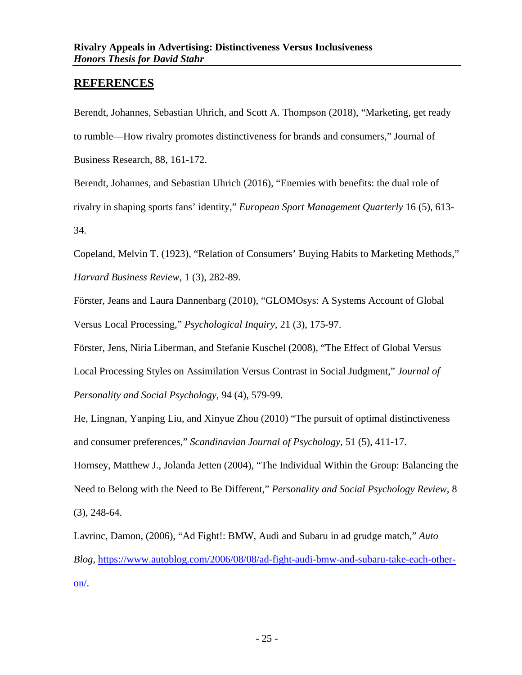## <span id="page-26-0"></span>**REFERENCES**

Berendt, Johannes, Sebastian Uhrich, and Scott A. Thompson (2018), "Marketing, get ready to rumble—How rivalry promotes distinctiveness for brands and consumers," Journal of Business Research, 88, 161-172.

Berendt, Johannes, and Sebastian Uhrich (2016), "Enemies with benefits: the dual role of rivalry in shaping sports fans' identity," *European Sport Management Quarterly* 16 (5), 613- 34.

Copeland, Melvin T. (1923), "Relation of Consumers' Buying Habits to Marketing Methods," *Harvard Business Review*, 1 (3), 282-89.

Förster, Jeans and Laura Dannenbarg (2010), "GLOMOsys: A Systems Account of Global Versus Local Processing," *Psychological Inquiry*, 21 (3), 175-97.

Förster, Jens, Niria Liberman, and Stefanie Kuschel (2008), "The Effect of Global Versus Local Processing Styles on Assimilation Versus Contrast in Social Judgment," *Journal of Personality and Social Psychology*, 94 (4), 579-99.

He, Lingnan, Yanping Liu, and Xinyue Zhou (2010) "The pursuit of optimal distinctiveness and consumer preferences," *Scandinavian Journal of Psychology*, 51 (5), 411-17.

Hornsey, Matthew J., Jolanda Jetten (2004), "The Individual Within the Group: Balancing the Need to Belong with the Need to Be Different," *Personality and Social Psychology Review*, 8 (3), 248-64.

Lavrinc, Damon, (2006), "Ad Fight!: BMW, Audi and Subaru in ad grudge match," *Auto Blog*, [https://www.autoblog.com/2006/08/08/ad-fight-audi-bmw-and-subaru-take-each-other](https://www.autoblog.com/2006/08/08/ad-fight-audi-bmw-and-subaru-take-each-other-on/)[on/.](https://www.autoblog.com/2006/08/08/ad-fight-audi-bmw-and-subaru-take-each-other-on/)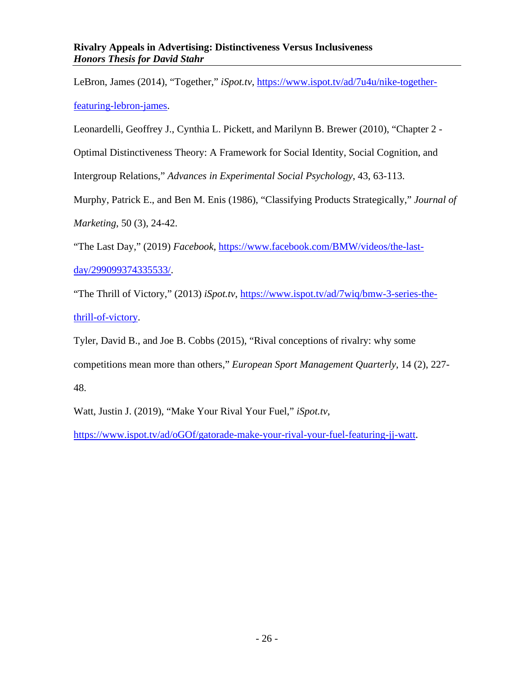LeBron, James (2014), "Together," *iSpot.tv*, [https://www.ispot.tv/ad/7u4u/nike-together](https://www.ispot.tv/ad/7u4u/nike-together-featuring-lebron-james)[featuring-lebron-james.](https://www.ispot.tv/ad/7u4u/nike-together-featuring-lebron-james)

Leonardelli, Geoffrey J., Cynthia L. Pickett, and Marilynn B. Brewer (2010), "Chapter 2 -

Optimal Distinctiveness Theory: A Framework for Social Identity, Social Cognition, and

Intergroup Relations," *Advances in Experimental Social Psychology*, 43, 63-113.

Murphy, Patrick E., and Ben M. Enis (1986), "Classifying Products Strategically," *Journal of Marketing*, 50 (3), 24-42.

"The Last Day," (2019) *Facebook*, [https://www.facebook.com/BMW/videos/the-last-](https://www.facebook.com/BMW/videos/the-last-day/299099374335533/)

[day/299099374335533/.](https://www.facebook.com/BMW/videos/the-last-day/299099374335533/)

"The Thrill of Victory," (2013) *iSpot.tv*, [https://www.ispot.tv/ad/7wiq/bmw-3-series-the](https://www.ispot.tv/ad/7wiq/bmw-3-series-the-thrill-of-victory)[thrill-of-victory.](https://www.ispot.tv/ad/7wiq/bmw-3-series-the-thrill-of-victory)

Tyler, David B., and Joe B. Cobbs (2015), "Rival conceptions of rivalry: why some competitions mean more than others," *European Sport Management Quarterly*, 14 (2), 227- 48.

Watt, Justin J. (2019), "Make Your Rival Your Fuel," *iSpot.tv*,

[https://www.ispot.tv/ad/oGOf/gatorade-make-your-rival-your-fuel-featuring-jj-watt.](https://www.ispot.tv/ad/oGOf/gatorade-make-your-rival-your-fuel-featuring-jj-watt)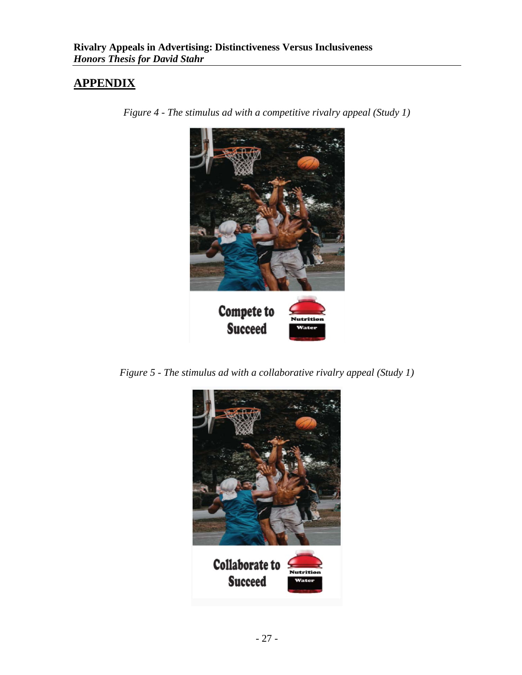# <span id="page-28-0"></span>**APPENDIX**



*Figure 4 - The stimulus ad with a competitive rivalry appeal (Study 1)*

*Figure 5 - The stimulus ad with a collaborative rivalry appeal (Study 1)*